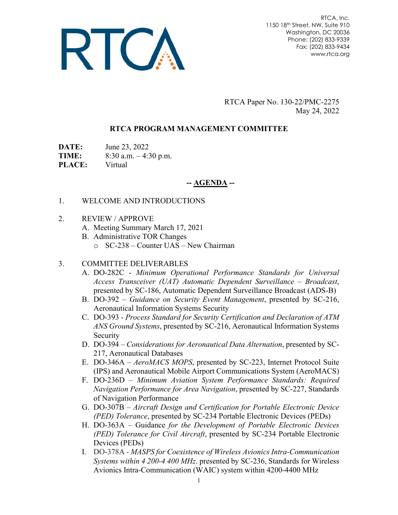

RTCA, Inc. 1150 18th Street, NW, Suite 910 Washington, DC 20036 Phone: (202) 833-9339 Fax: (202) 833-9434 www.rtca.org

RTCA Paper No. 130-22/PMC-2275 May 24, 2022

### **RTCA PROGRAM MANAGEMENT COMMITTEE**

**DATE:** June 23, 2022

**TIME:** 8:30 a.m. – 4:30 p.m.

**PLACE:** Virtual

# **-- AGENDA --**

### 1. WELCOME AND INTRODUCTIONS

- 2. REVIEW / APPROVE
	- A. Meeting Summary March 17, 2021
	- B. Administrative TOR Changes
		- o SC-238 Counter UAS New Chairman

### 3. COMMITTEE DELIVERABLES

- A. DO-282C *Minimum Operational Performance Standards for Universal Access Transceiver (UAT) Automatic Dependent Surveillance – Broadcast*, presented by SC-186, Automatic Dependent Surveillance Broadcast (ADS-B)
- B. DO-392 *Guidance on Security Event Management*, presented by SC-216, Aeronautical Information Systems Security
- C. DO-393 *Process Standard for Security Certification and Declaration of ATM ANS Ground Systems*, presented by SC-216, Aeronautical Information Systems Security
- D. DO-394 *Considerations for Aeronautical Data Alternation*, presented by SC-217, Aeronautical Databases
- E. DO-346A *AeroMACS MOPS*, presented by SC-223, Internet Protocol Suite (IPS) and Aeronautical Mobile Airport Communications System (AeroMACS)
- F. DO-236D *Minimum Aviation System Performance Standards: Required Navigation Performance for Area Navigation*, presented by SC-227, Standards of Navigation Performance
- G. DO-307B *Aircraft Design and Certification for Portable Electronic Device (PED) Tolerance*, presented by SC-234 Portable Electronic Devices (PEDs)
- H. DO-363A Guidance *for the Development of Portable Electronic Devices (PED) Tolerance for Civil Aircraft*, presented by SC-234 Portable Electronic Devices (PEDs)
- I. DO-378A *MASPS for Coexistence of Wireless Avionics Intra-Communication Systems within 4 200-4 400 MHz*. presented by SC-236, Standards for Wireless Avionics Intra-Communication (WAIC) system within 4200-4400 MHz